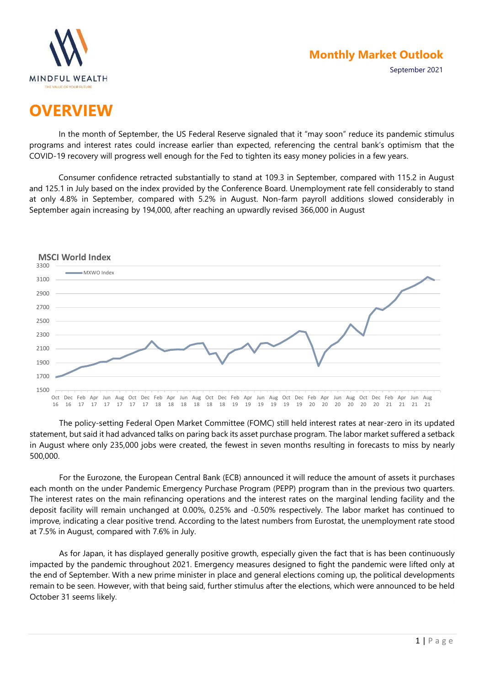

September 2021

# **OVERVIEW**

In the month of September, the US Federal Reserve signaled that it "may soon" reduce its pandemic stimulus programs and interest rates could increase earlier than expected, referencing the central bank's optimism that the COVID-19 recovery will progress well enough for the Fed to tighten its easy money policies in a few years.

Consumer confidence retracted substantially to stand at 109.3 in September, compared with 115.2 in August and 125.1 in July based on the index provided by the Conference Board. Unemployment rate fell considerably to stand at only 4.8% in September, compared with 5.2% in August. Non-farm payroll additions slowed considerably in September again increasing by 194,000, after reaching an upwardly revised 366,000 in August



The policy-setting Federal Open Market Committee (FOMC) still held interest rates at near-zero in its updated statement, but said it had advanced talks on paring back its asset purchase program. The labor market suffered a setback in August where only 235,000 jobs were created, the fewest in seven months resulting in forecasts to miss by nearly 500,000.

For the Eurozone, the European Central Bank (ECB) announced it will reduce the amount of assets it purchases each month on the under Pandemic Emergency Purchase Program (PEPP) program than in the previous two quarters. The interest rates on the main refinancing operations and the interest rates on the marginal lending facility and the deposit facility will remain unchanged at 0.00%, 0.25% and -0.50% respectively. The labor market has continued to improve, indicating a clear positive trend. According to the latest numbers from Eurostat, the unemployment rate stood at 7.5% in August, compared with 7.6% in July.

As for Japan, it has displayed generally positive growth, especially given the fact that is has been continuously impacted by the pandemic throughout 2021. Emergency measures designed to fight the pandemic were lifted only at the end of September. With a new prime minister in place and general elections coming up, the political developments remain to be seen. However, with that being said, further stimulus after the elections, which were announced to be held October 31 seems likely.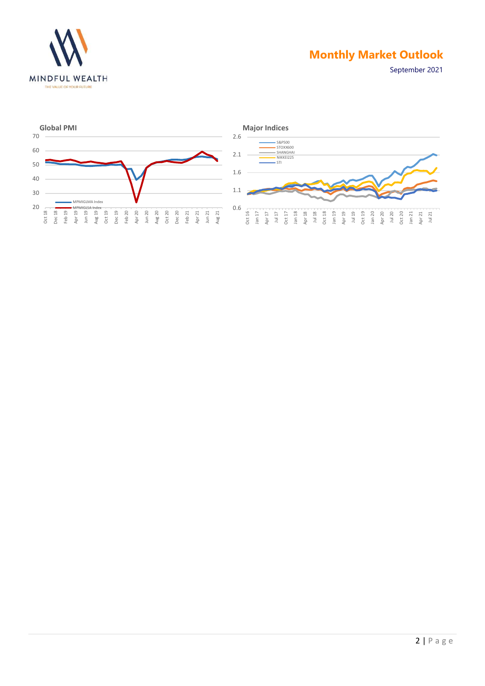

September 2021



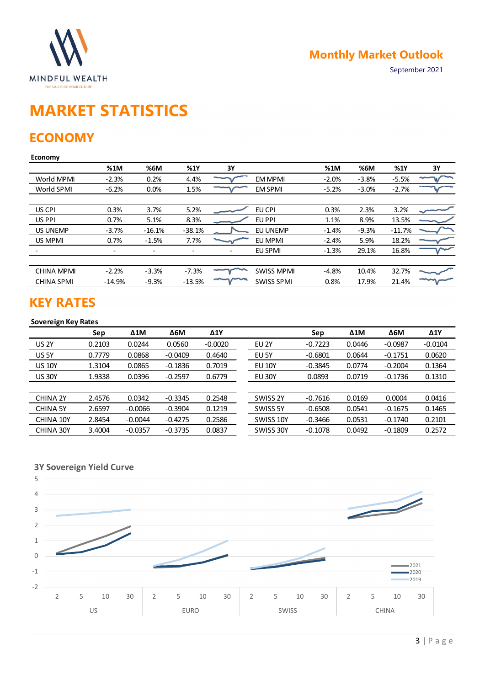

# MARKET STATISTICS

# **ECONOMY**

### Economy

| <b>MINDFUL WEALTH</b><br>THE VALUE OF YOUR FUTURE            |                          |                          |                          |                          |                   |           | <b>Monthly Market Outlook</b> |             | September 2021 |
|--------------------------------------------------------------|--------------------------|--------------------------|--------------------------|--------------------------|-------------------|-----------|-------------------------------|-------------|----------------|
| <b>MARKET STATISTICS</b><br><b>ECONOMY</b><br><b>Economy</b> |                          |                          |                          |                          |                   |           |                               |             |                |
|                                                              | %1M                      | %6M                      | %1Y                      | 3Y                       |                   | %1M       | %6M                           | %1Y         | 3Y             |
| World MPMI                                                   | $-2.3%$                  | 0.2%                     | 4.4%                     |                          | EM MPMI           | $-2.0%$   | $-3.8%$                       | $-5.5%$     |                |
| World SPMI                                                   | $-6.2%$                  | 0.0%                     | 1.5%                     |                          | <b>EM SPMI</b>    | $-5.2%$   | $-3.0%$                       | $-2.7%$     |                |
| US CPI                                                       | 0.3%                     | 3.7%                     | 5.2%                     |                          | EU CPI            | 0.3%      | 2.3%                          | 3.2%        |                |
| US PPI                                                       | 0.7%                     | 5.1%                     | 8.3%                     |                          | EU PPI            | 1.1%      | 8.9%                          | 13.5%       |                |
| US UNEMP                                                     | $-3.7%$                  | $-16.1%$                 | $-38.1%$                 |                          | EU UNEMP          | $-1.4%$   | $-9.3%$                       | $-11.7%$    |                |
| US MPMI                                                      | 0.7%                     | $-1.5%$                  | 7.7%                     |                          | EU MPMI           | $-2.4%$   | 5.9%                          | 18.2%       |                |
|                                                              | $\overline{\phantom{a}}$ | $\overline{\phantom{a}}$ | $\overline{\phantom{a}}$ | $\overline{\phantom{a}}$ | EU SPMI           | $-1.3%$   | 29.1%                         | 16.8%       |                |
| <b>CHINA MPMI</b>                                            | $-2.2%$                  | $-3.3%$                  | $-7.3%$                  |                          | <b>SWISS MPMI</b> | $-4.8%$   | 10.4%                         | 32.7%       |                |
| <b>CHINA SPMI</b>                                            | $-14.9%$                 | $-9.3%$                  | $-13.5%$                 | mymm                     | <b>SWISS SPMI</b> | 0.8%      | 17.9%                         | 21.4%       | ∼              |
| <b>KEY RATES</b><br><b>Sovereign Key Rates</b>               |                          |                          |                          |                          |                   |           |                               |             |                |
|                                                              | Sep                      | $\Delta 1$ M             | $\Delta 6M$              | $\Delta$ 1Y              |                   | Sep       | $\Delta 1$ M                  | $\Delta 6M$ | $\Delta$ 1Y    |
| <b>US 2Y</b>                                                 | 0.2103                   | 0.0244                   | 0.0560                   | $-0.0020$                | EU <sub>2Y</sub>  | $-0.7223$ | 0.0446                        | $-0.0987$   | $-0.0104$      |
| US 5Y                                                        | 0.7779                   | 0.0868                   | $-0.0409$                | 0.4640                   | EU 5Y             | $-0.6801$ | 0.0644                        | $-0.1751$   | 0.0620         |
| <b>US 10Y</b>                                                | 1.3104                   | 0.0865                   | $-0.1836$                | 0.7019                   | <b>EU 10Y</b>     | $-0.3845$ | 0.0774                        | $-0.2004$   | 0.1364         |
| <b>US 30Y</b>                                                | 1.9338                   | 0.0396                   | $-0.2597$                | 0.6779                   | <b>EU 30Y</b>     | 0.0893    | 0.0719                        | $-0.1736$   | 0.1310         |
|                                                              |                          |                          |                          |                          |                   |           |                               |             |                |
| CHINA 2Y                                                     | 2.4576                   | 0.0342                   | $-0.3345$                | 0.2548                   | SWISS 2Y          | $-0.7616$ | 0.0169                        | 0.0004      | 0.0416         |
| <b>CHINA 5Y</b>                                              | 2.6597                   | $-0.0066$                | $-0.3904$                | 0.1219                   | SWISS 5Y          | $-0.6508$ | 0.0541                        | $-0.1675$   | 0.1465         |
| CHINA 10Y                                                    | 2.8454                   | $-0.0044$                | $-0.4275$                | 0.2586                   | SWISS 10Y         | $-0.3466$ | 0.0531                        | $-0.1740$   | 0.2101         |
| CHINA 30Y                                                    | 3.4004                   | $-0.0357$                | $-0.3735$                | 0.0837                   | SWISS 30Y         | $-0.1078$ | 0.0492                        | $-0.1809$   | 0.2572         |

# KEY RATES

### Sovereign Key Rates

| US CPI                                         | 0.3%                     | 3.7%                     | 5.2%        |                          | EU CPI            | 0.3%      | 2.3%         | 3.2%        |            |
|------------------------------------------------|--------------------------|--------------------------|-------------|--------------------------|-------------------|-----------|--------------|-------------|------------|
| US PPI                                         | 0.7%                     | 5.1%                     | 8.3%        |                          | EU PPI            | 1.1%      | 8.9%         | 13.5%       |            |
| <b>US UNEMP</b>                                | $-3.7%$                  | $-16.1%$                 | $-38.1%$    |                          | EU UNEMP          | $-1.4%$   | $-9.3%$      | $-11.7%$    |            |
| US MPMI                                        | 0.7%                     | $-1.5%$                  | 7.7%        |                          | EU MPMI           | $-2.4%$   | 5.9%         | 18.2%       |            |
|                                                | $\overline{\phantom{a}}$ | $\overline{\phantom{a}}$ | $\sim$      | $\overline{\phantom{a}}$ | <b>EU SPMI</b>    | $-1.3%$   | 29.1%        | 16.8%       |            |
|                                                |                          |                          |             |                          |                   |           |              |             |            |
| <b>CHINA MPMI</b>                              | $-2.2%$                  | $-3.3%$                  | $-7.3%$     | ~~~~                     | <b>SWISS MPMI</b> | $-4.8%$   | 10.4%        | 32.7%       |            |
| <b>CHINA SPMI</b>                              | $-14.9%$                 | $-9.3%$                  | $-13.5%$    | $\sim$                   | <b>SWISS SPMI</b> | 0.8%      | 17.9%        | 21.4%       | $\sim$     |
| <b>KEY RATES</b><br><b>Sovereign Key Rates</b> |                          |                          |             |                          |                   |           |              |             |            |
|                                                | Sep                      | $\Delta 1$ M             | $\Delta 6M$ | $\Delta 1Y$              |                   | Sep       | $\Delta 1$ M | $\Delta 6M$ | $\Delta 1$ |
| <b>US 2Y</b>                                   | 0.2103                   | 0.0244                   | 0.0560      | $-0.0020$                | EU <sub>2Y</sub>  | $-0.7223$ | 0.0446       | $-0.0987$   | $-0.0104$  |
| US 5Y                                          | 0.7779                   | 0.0868                   | $-0.0409$   | 0.4640                   | EU 5Y             | $-0.6801$ | 0.0644       | $-0.1751$   | 0.0620     |
| <b>US 10Y</b>                                  | 1.3104                   | 0.0865                   | $-0.1836$   | 0.7019                   | <b>EU 10Y</b>     | $-0.3845$ | 0.0774       | $-0.2004$   | 0.1364     |
| <b>US 30Y</b>                                  | 1.9338                   | 0.0396                   | $-0.2597$   | 0.6779                   | <b>EU 30Y</b>     | 0.0893    | 0.0719       | $-0.1736$   | 0.1310     |
|                                                |                          |                          |             |                          |                   |           |              |             |            |
| <b>CHINA 2Y</b>                                | 2.4576                   | 0.0342                   | $-0.3345$   | 0.2548                   | SWISS 2Y          | $-0.7616$ | 0.0169       | 0.0004      | 0.0416     |
| <b>CHINA 5Y</b>                                | 2.6597                   | $-0.0066$                | $-0.3904$   | 0.1219                   | SWISS 5Y          | $-0.6508$ | 0.0541       | $-0.1675$   | 0.1465     |
| CHINA 10Y                                      | 2.8454                   | $-0.0044$                | $-0.4275$   | 0.2586                   | SWISS 10Y         | $-0.3466$ | 0.0531       | $-0.1740$   | 0.2101     |
| CHINA 30Y                                      | 3.4004                   | $-0.0357$                | $-0.3735$   | 0.0837                   | SWISS 30Y         | $-0.1078$ | 0.0492       | $-0.1809$   | 0.2572     |
|                                                |                          |                          |             |                          |                   |           |              |             |            |
|                                                |                          |                          |             |                          |                   |           |              |             |            |
|                                                |                          |                          |             |                          |                   |           |              |             |            |
| <b>3Y Sovereign Yield Curve</b>                |                          |                          |             |                          |                   |           |              |             |            |
| 5                                              |                          |                          |             |                          |                   |           |              |             |            |
|                                                |                          |                          |             |                          |                   |           |              |             |            |

3Y Sovereign Yield Curve

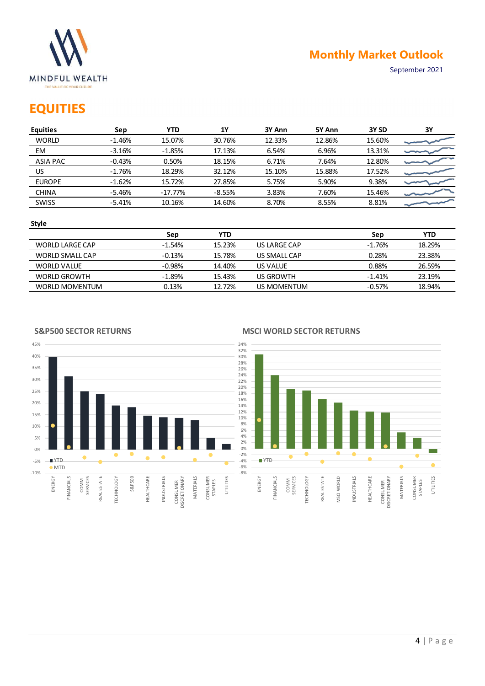

# **EQUITIES**

|                                                                      |          |            |            |                  |        |          | <b>Monthly Market Outlook</b> |
|----------------------------------------------------------------------|----------|------------|------------|------------------|--------|----------|-------------------------------|
| <b>MINDFUL WEALTH</b><br>THE VALUE OF YOUR FUTURE<br><b>EQUITIES</b> |          |            |            |                  |        |          | September 2021                |
| <b>Equities</b>                                                      | Sep      | <b>YTD</b> | 1Y         | 3Y Ann           | 5Y Ann | 3Y SD    | $3Y$                          |
| <b>WORLD</b>                                                         | $-1.46%$ | 15.07%     | 30.76%     | 12.33%           | 12.86% | 15.60%   |                               |
| EM                                                                   | $-3.16%$ | $-1.85%$   | 17.13%     | 6.54%            | 6.96%  | 13.31%   |                               |
| <b>ASIA PAC</b>                                                      | $-0.43%$ | 0.50%      | 18.15%     | 6.71%            | 7.64%  | 12.80%   |                               |
| US.                                                                  | $-1.76%$ | 18.29%     | 32.12%     | 15.10%           | 15.88% | 17.52%   |                               |
| <b>EUROPE</b>                                                        | $-1.62%$ | 15.72%     | 27.85%     | 5.75%            | 5.90%  | 9.38%    |                               |
| <b>CHINA</b>                                                         | $-5.46%$ | $-17.77%$  | $-8.55%$   | 3.83%            | 7.60%  | 15.46%   |                               |
| SWISS                                                                | $-5.41%$ | 10.16%     | 14.60%     | 8.70%            | 8.55%  | 8.81%    |                               |
|                                                                      |          |            |            |                  |        |          |                               |
| <b>Style</b>                                                         |          |            | <b>YTD</b> |                  |        | Sep      | <b>YTD</b>                    |
|                                                                      |          | Sep        |            |                  |        |          |                               |
| <b>WORLD LARGE CAP</b>                                               |          | $-1.54%$   | 15.23%     | US LARGE CAP     |        | $-1.76%$ | 18.29%                        |
| WORLD SMALL CAP                                                      |          | $-0.13%$   | 15.78%     | US SMALL CAP     |        | 0.28%    | 23.38%                        |
| <b>WORLD VALUE</b>                                                   |          | $-0.98%$   | 14.40%     | US VALUE         |        | 0.88%    | 26.59%                        |
| <b>WORLD GROWTH</b>                                                  |          | $-1.89%$   | 15.43%     | <b>US GROWTH</b> |        | $-1.41%$ | 23.19%                        |

### Style

|                     | Sep      | <b>YTD</b> |              | Sep      | YTD    |
|---------------------|----------|------------|--------------|----------|--------|
| WORLD LARGE CAP     | $-1.54%$ | 15.23%     | US LARGE CAP | $-1.76%$ | 18.29% |
| WORLD SMALL CAP     | $-0.13%$ | 15.78%     | US SMALL CAP | 0.28%    | 23.38% |
| <b>WORLD VALUE</b>  | $-0.98%$ | 14.40%     | US VALUE     | 0.88%    | 26.59% |
| <b>WORLD GROWTH</b> | $-1.89%$ | 15.43%     | US GROWTH    | $-1.41%$ | 23.19% |
| WORLD MOMENTUM      | 0.13%    | 12.72%     | US MOMENTUM  | $-0.57%$ | 18.94% |

### S&P500 SECTOR RETURNS





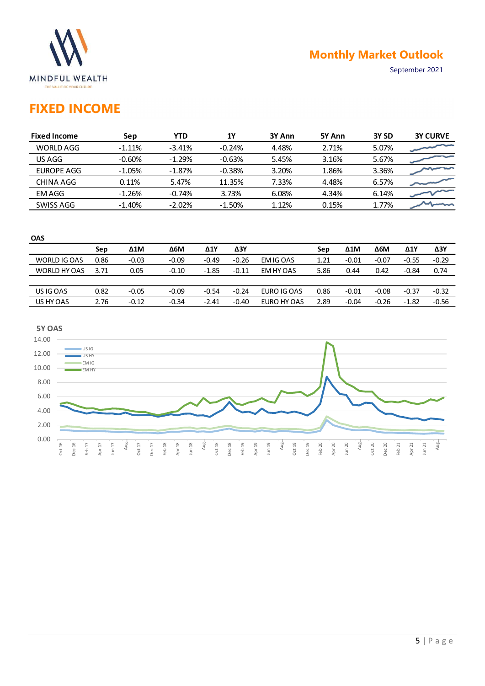

# FIXED INCOME

|                                                                          |      |              |             |              |             |             |        |                | <b>Monthly Market Outlook</b> |                |                 |
|--------------------------------------------------------------------------|------|--------------|-------------|--------------|-------------|-------------|--------|----------------|-------------------------------|----------------|-----------------|
| <b>MINDFUL WEALTH</b><br>THE VALUE OF YOUR FUTURE<br><b>FIXED INCOME</b> |      |              |             |              |             |             |        |                |                               | September 2021 |                 |
| <b>Fixed Income</b>                                                      |      | Sep          | <b>YTD</b>  |              | <b>1Y</b>   | 3Y Ann      | 5Y Ann |                | 3Y SD                         |                | <b>3Y CURVE</b> |
| <b>WORLD AGG</b>                                                         |      | $-1.11%$     | $-3.41%$    |              | $-0.24%$    | 4.48%       | 2.71%  |                | 5.07%                         |                |                 |
| US AGG                                                                   |      | $-0.60%$     | $-1.29%$    |              | $-0.63%$    | 5.45%       | 3.16%  |                | 5.67%                         | 3.36%<br>6.57% |                 |
| <b>EUROPE AGG</b>                                                        |      | $-1.05%$     | $-1.87%$    |              | $-0.38%$    | 3.20%       |        | 1.86%<br>4.48% |                               |                |                 |
| <b>CHINA AGG</b>                                                         |      | 0.11%        | 5.47%       |              | 11.35%      | 7.33%       |        |                |                               |                |                 |
| <b>EMAGG</b>                                                             |      | $-1.26%$     | $-0.74%$    |              | 3.73%       | 6.08%       | 4.34%  |                | 6.14%                         |                |                 |
| SWISS AGG                                                                |      | $-1.40%$     | $-2.02%$    |              | $-1.50%$    | 1.12%       | 0.15%  |                | 1.77%                         |                |                 |
| OAS                                                                      | Sep  | $\Delta 1$ M | $\Delta 6M$ | $\Delta 1$ Y | $\Delta 3Y$ |             | Sep    | $\Delta 1$ M   | $\Delta 6M$                   | $\Delta 1$     | $\Delta 3Y$     |
| WORLD IG OAS                                                             | 0.86 | $-0.03$      | $-0.09$     | $-0.49$      | $-0.26$     | EM IG OAS   | 1.21   | $-0.01$        | $-0.07$                       | $-0.55$        | $-0.29$         |
|                                                                          |      | 0.05         | $-0.10$     | $-1.85$      | $-0.11$     | EM HY OAS   | 5.86   | 0.44           | 0.42                          | $-0.84$        | 0.74            |
| WORLD HY OAS                                                             | 3.71 |              |             |              |             |             |        |                |                               |                |                 |
| US IG OAS                                                                | 0.82 | $-0.05$      | $-0.09$     | $-0.54$      | $-0.24$     | EURO IG OAS | 0.86   | $-0.01$        | $-0.08$                       | $-0.37$        | $-0.32$         |

| <b>OAS</b>   |      |              |            |         |         |             |      |              |         |             |             |
|--------------|------|--------------|------------|---------|---------|-------------|------|--------------|---------|-------------|-------------|
|              | Sep  | $\Delta 1$ M | <b>Δ6Μ</b> | Δ1Y     | ΔЗΥ     |             | Sep  | $\Delta 1$ M | Δ6M     | $\Delta$ 1Y | $\Delta$ 3Y |
| WORLD IG OAS | 0.86 | $-0.03$      | $-0.09$    | $-0.49$ | $-0.26$ | EM IG OAS   | 1.21 | $-0.01$      | $-0.07$ | $-0.55$     | $-0.29$     |
| WORLD HY OAS | 3.71 | 0.05         | $-0.10$    | $-1.85$ | $-0.11$ | EM HY OAS   | 5.86 | 0.44         | 0.42    | $-0.84$     | 0.74        |
|              |      |              |            |         |         |             |      |              |         |             |             |
| US IG OAS    | 0.82 | $-0.05$      | $-0.09$    | $-0.54$ | $-0.24$ | EURO IG OAS | 0.86 | $-0.01$      | $-0.08$ | $-0.37$     | $-0.32$     |
| US HY OAS    | 2.76 | $-0.12$      | $-0.34$    | $-2.41$ | $-0.40$ | EURO HY OAS | 2.89 | $-0.04$      | $-0.26$ | $-1.82$     | $-0.56$     |
|              |      |              |            |         |         |             |      |              |         |             |             |

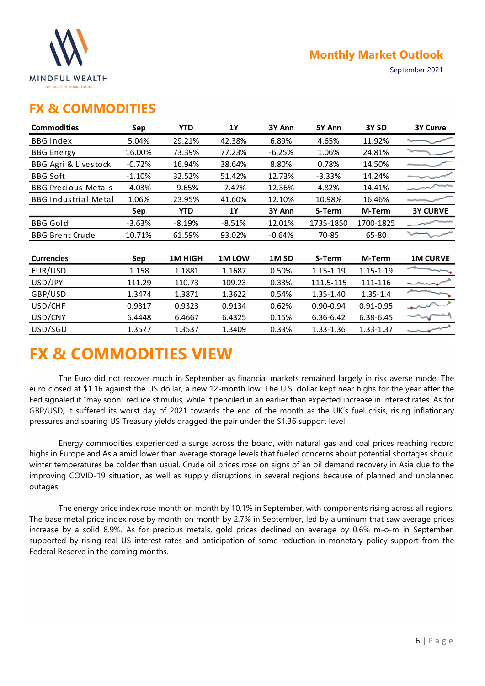

### FX & COMMODITIES

|                                                   |          |            |           |                  |           | <b>Monthly Market Outlook</b> |                      |
|---------------------------------------------------|----------|------------|-----------|------------------|-----------|-------------------------------|----------------------|
| <b>MINDFUL WEALTH</b><br>THE VALUE OF YOUR FUTURE |          |            |           |                  |           |                               | September 2021       |
| <b>FX &amp; COMMODITIES</b>                       |          |            |           |                  |           |                               |                      |
| <b>Commodities</b>                                | Sep      | <b>YTD</b> | <b>1Y</b> | 3Y Ann           | 5Y Ann    | 3Y <sub>SD</sub>              | <b>3Y Curve</b>      |
| <b>BBG Index</b>                                  | 5.04%    | 29.21%     | 42.38%    | 6.89%            | 4.65%     | 11.92%                        |                      |
| <b>BBG</b> Energy                                 | 16.00%   | 73.39%     | 77.23%    | $-6.25%$         | 1.06%     | 24.81%                        |                      |
| BBG Agri & Livestock                              | $-0.72%$ | 16.94%     | 38.64%    | 8.80%            | 0.78%     | 14.50%                        |                      |
| <b>BBG Soft</b>                                   | $-1.10%$ | 32.52%     | 51.42%    | 12.73%           | $-3.33%$  | 14.24%                        |                      |
| <b>BBG Precious Metals</b>                        | $-4.03%$ | $-9.65%$   | $-7.47%$  | 12.36%           | 4.82%     | 14.41%                        |                      |
| <b>BBG Industrial Metal</b>                       | 1.06%    | 23.95%     | 41.60%    | 12.10%           | 10.98%    | 16.46%                        |                      |
|                                                   | Sep      | <b>YTD</b> | <b>1Y</b> | 3Y Ann           | S-Term    | M-Term                        | <b>3Y CURVE</b>      |
| <b>BBG</b> Gold                                   | $-3.63%$ | $-8.19%$   | $-8.51%$  | 12.01%           | 1735-1850 | 1700-1825                     |                      |
| <b>BBG Brent Crude</b>                            | 10.71%   | 61.59%     | 93.02%    | $-0.64%$         | 70-85     | 65-80                         |                      |
|                                                   |          |            |           |                  |           |                               |                      |
| <b>Currencies</b>                                 | Sep      | 1M HIGH    | 1M LOW    | 1M <sub>SD</sub> | S-Term    | M-Term                        | <b>1M CURVE</b><br>- |
| EUR/USD                                           | 1.158    | 1.1881     | 1.1687    | 0.50%            | 1.15-1.19 | 1.15-1.19                     |                      |
| USD/JPY                                           | 111.29   | 110.73     | 109.23    | 0.33%            | 111.5-115 | 111-116                       | ----                 |
| GBP/USD                                           | 1.3474   | 1.3871     | 1.3622    | 0.54%            | 1.35-1.40 | $1.35 - 1.4$                  |                      |
| USD/CHF                                           | 0.9317   | 0.9323     | 0.9134    | 0.62%            | 0.90-0.94 | $0.91 - 0.95$                 |                      |
| USD/CNY                                           | 6.4448   | 6.4667     | 6.4325    | 0.15%            | 6.36-6.42 | 6.38-6.45                     |                      |
| USD/SGD                                           | 1.3577   | 1.3537     | 1.3409    | 0.33%            | 1.33-1.36 | 1.33-1.37                     |                      |

# FX & COMMODITIES VIEW

The Euro did not recover much in September as financial markets remained largely in risk averse mode. The euro closed at \$1.16 against the US dollar, a new 12-month low. The U.S. dollar kept near highs for the year after the Fed signaled it "may soon" reduce stimulus, while it penciled in an earlier than expected increase in interest rates. As for GBP/USD, it suffered its worst day of 2021 towards the end of the month as the UK's fuel crisis, rising inflationary pressures and soaring US Treasury yields dragged the pair under the \$1.36 support level.

Energy commodities experienced a surge across the board, with natural gas and coal prices reaching record highs in Europe and Asia amid lower than average storage levels that fueled concerns about potential shortages should winter temperatures be colder than usual. Crude oil prices rose on signs of an oil demand recovery in Asia due to the improving COVID-19 situation, as well as supply disruptions in several regions because of planned and unplanned outages.

The energy price index rose month on month by 10.1% in September, with components rising across all regions. The base metal price index rose by month on month by 2.7% in September, led by aluminum that saw average prices increase by a solid 8.9%. As for precious metals, gold prices declined on average by 0.6% m-o-m in September, supported by rising real US interest rates and anticipation of some reduction in monetary policy support from the Federal Reserve in the coming months.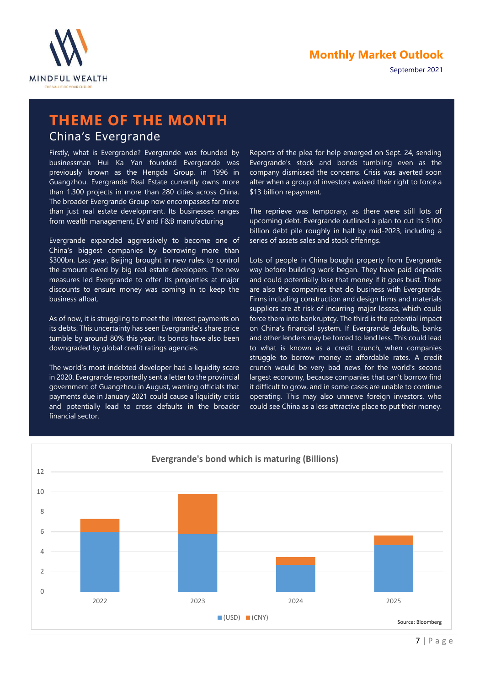



### THEME OF THE MONTH China's Evergrande

Firstly, what is Evergrande? Evergrande was founded by businessman Hui Ka Yan founded Evergrande was previously known as the Hengda Group, in 1996 in Guangzhou. Evergrande Real Estate currently owns more than 1,300 projects in more than 280 cities across China. The broader Evergrande Group now encompasses far more than just real estate development. Its businesses ranges from wealth management, EV and F&B manufacturing

Evergrande expanded aggressively to become one of China's biggest companies by borrowing more than \$300bn. Last year, Beijing brought in new rules to control the amount owed by big real estate developers. The new measures led Evergrande to offer its properties at major discounts to ensure money was coming in to keep the business afloat.

As of now, it is struggling to meet the interest payments on its debts. This uncertainty has seen Evergrande's share price tumble by around 80% this year. Its bonds have also been downgraded by global credit ratings agencies.

The world's most-indebted developer had a liquidity scare in 2020. Evergrande reportedly sent a letter to the provincial government of Guangzhou in August, warning officials that payments due in January 2021 could cause a liquidity crisis and potentially lead to cross defaults in the broader financial sector.

Reports of the plea for help emerged on Sept. 24, sending Evergrande's stock and bonds tumbling even as the company dismissed the concerns. Crisis was averted soon after when a group of investors waived their right to force a \$13 billion repayment.

The reprieve was temporary, as there were still lots of upcoming debt. Evergrande outlined a plan to cut its \$100 billion debt pile roughly in half by mid-2023, including a series of assets sales and stock offerings.

Lots of people in China bought property from Evergrande way before building work began. They have paid deposits and could potentially lose that money if it goes bust. There are also the companies that do business with Evergrande. Firms including construction and design firms and materials suppliers are at risk of incurring major losses, which could force them into bankruptcy. The third is the potential impact on China's financial system. If Evergrande defaults, banks and other lenders may be forced to lend less. This could lead to what is known as a credit crunch, when companies struggle to borrow money at affordable rates. A credit crunch would be very bad news for the world's second largest economy, because companies that can't borrow find it difficult to grow, and in some cases are unable to continue operating. This may also unnerve foreign investors, who could see China as a less attractive place to put their money.

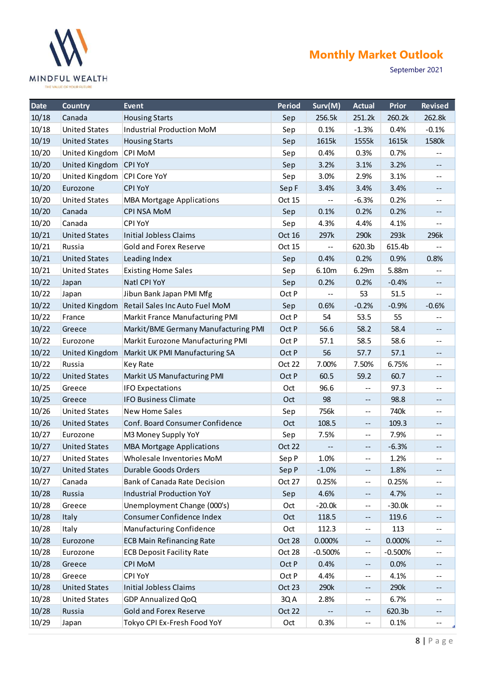

|                | <b>MINDFUL WEALTH</b><br>THE VALUE OF YOUR FUTURE     |                                                    |               |                |                                               | <b>Monthly Market Outlook</b> | September 2021                                |
|----------------|-------------------------------------------------------|----------------------------------------------------|---------------|----------------|-----------------------------------------------|-------------------------------|-----------------------------------------------|
| Date           | Country                                               | Event                                              | <b>Period</b> | Surv(M)        | <b>Actual</b>                                 | Prior                         | <b>Revised</b>                                |
| 10/18          | Canada                                                | <b>Housing Starts</b>                              | Sep           | 256.5k         | 251.2k                                        | 260.2k                        | 262.8k                                        |
| 10/18          | <b>United States</b>                                  | Industrial Production MoM                          | Sep           | 0.1%           | $-1.3%$                                       | 0.4%                          | $-0.1%$                                       |
| 10/19          | <b>United States</b>                                  | <b>Housing Starts</b>                              | Sep           | 1615k          | 1555k                                         | 1615k                         | 1580k                                         |
| 10/20<br>10/20 | United Kingdom                                        | CPI MoM                                            | Sep           | 0.4%<br>3.2%   | 0.3%<br>3.1%                                  | 0.7%<br>3.2%                  | $\rightarrow$ $\rightarrow$                   |
| 10/20          | United Kingdom CPI YoY<br>United Kingdom CPI Core YoY |                                                    | Sep<br>Sep    | 3.0%           | 2.9%                                          | 3.1%                          | $--$<br>$- -$                                 |
| 10/20          | Eurozone                                              | <b>CPI YoY</b>                                     | Sep F         | 3.4%           | 3.4%                                          | 3.4%                          | $- -$                                         |
| 10/20          | <b>United States</b>                                  | <b>MBA Mortgage Applications</b>                   | Oct 15        | $\sim$ $-$     | $-6.3%$                                       | 0.2%                          | $-$                                           |
| 10/20          | Canada                                                | <b>CPI NSA MoM</b>                                 | Sep           | 0.1%           | 0.2%                                          | 0.2%                          | $- -$                                         |
| 10/20          | Canada                                                | <b>CPI YoY</b>                                     | Sep           | 4.3%           | 4.4%                                          | 4.1%                          | $\qquad \qquad -$                             |
| 10/21          | <b>United States</b>                                  | <b>Initial Jobless Claims</b>                      | Oct 16        | 297k           | 290k                                          | 293k                          | 296k                                          |
| 10/21          | Russia                                                | <b>Gold and Forex Reserve</b>                      | Oct 15        | $--$           | 620.3b                                        | 615.4b                        | $\overline{\phantom{m}}$ .                    |
| 10/21          | <b>United States</b>                                  | Leading Index                                      | Sep           | 0.4%           | 0.2%                                          | 0.9%                          | 0.8%                                          |
| 10/21          | <b>United States</b>                                  | <b>Existing Home Sales</b>                         | Sep           | 6.10m          | 6.29m                                         | 5.88m                         | $\mathord{\hspace{1pt}\text{--}\hspace{1pt}}$ |
| 10/22          | Japan                                                 | Natl CPI YoY                                       | Sep           | 0.2%           | 0.2%                                          | $-0.4%$                       | $---$                                         |
| 10/22          | Japan                                                 | Jibun Bank Japan PMI Mfg                           | Oct P         | $\sim$ $\sim$  | 53                                            | 51.5                          | $\sim$ $-$                                    |
| 10/22          | United Kingdom                                        | Retail Sales Inc Auto Fuel MoM                     | Sep           | 0.6%           | $-0.2%$                                       | $-0.9%$                       | $-0.6%$                                       |
| 10/22          | France                                                | Markit France Manufacturing PMI                    | Oct P         | 54             | 53.5                                          | 55                            | --                                            |
| 10/22          | Greece                                                | Markit/BME Germany Manufacturing PMI               | Oct P         | 56.6           | 58.2                                          | 58.4                          | $\mathord{\hspace{1pt}\text{--}\hspace{1pt}}$ |
| 10/22          | Eurozone                                              | Markit Eurozone Manufacturing PMI                  | Oct P         | 57.1           | 58.5                                          | 58.6                          | $- -$                                         |
| 10/22          | <b>United Kingdom</b>                                 | Markit UK PMI Manufacturing SA                     | Oct P         | 56             | 57.7                                          | 57.1                          | $---$                                         |
| 10/22          | Russia                                                | <b>Key Rate</b>                                    | Oct 22        | 7.00%          | 7.50%                                         | 6.75%                         | $\mathbf{m}$                                  |
| 10/22          | <b>United States</b>                                  | Markit US Manufacturing PMI                        | Oct P         | 60.5           | 59.2                                          | 60.7                          | $\mathord{\hspace{1pt}\text{--}\hspace{1pt}}$ |
| 10/25          | Greece                                                | <b>IFO Expectations</b>                            | Oct           | 96.6           | $\mathord{\hspace{1pt}\text{--}\hspace{1pt}}$ | 97.3                          | $\mathbf{m}$                                  |
| 10/25          | Greece                                                | <b>IFO Business Climate</b>                        | Oct           | 98             | $\sim$ $\sim$                                 | 98.8                          | $\mathcal{L}_{\mathcal{L}}$                   |
| 10/26          | <b>United States</b>                                  | <b>New Home Sales</b>                              | Sep           | 756k           | $\sim$ $\sim$                                 | 740k                          | $--$                                          |
| 10/26          | <b>United States</b>                                  | Conf. Board Consumer Confidence                    | Oct           | 108.5          | $\mathord{\hspace{1pt}\text{--}\hspace{1pt}}$ | 109.3                         | $\sim$ $\sim$                                 |
| 10/27          | Eurozone                                              | M3 Money Supply YoY                                | Sep           | 7.5%           | $\overline{\phantom{m}}$                      | 7.9%                          | $- -$                                         |
| 10/27          | <b>United States</b>                                  | <b>MBA Mortgage Applications</b>                   | Oct 22        | $\sim$         | $\mathord{\hspace{1pt}\text{--}\hspace{1pt}}$ | $-6.3%$                       | $\mathord{\hspace{1pt}\text{--}\hspace{1pt}}$ |
| 10/27          | <b>United States</b>                                  | Wholesale Inventories MoM                          | Sep P         | 1.0%           | $- -$                                         | 1.2%                          | $\mathbf{m}$                                  |
| 10/27          | <b>United States</b>                                  | Durable Goods Orders                               | Sep P         | $-1.0%$        | $\mathord{\hspace{1pt}\text{--}\hspace{1pt}}$ | 1.8%                          | $\mathcal{L}_{\mathcal{L}}$                   |
| 10/27          | Canada                                                | Bank of Canada Rate Decision                       | Oct 27        | 0.25%          | $\sim$ $\sim$                                 | 0.25%                         | $\mathbf{u} = \mathbf{v}$                     |
| 10/28          | Russia                                                | <b>Industrial Production YoY</b>                   | Sep           | 4.6%           | $\mathord{\hspace{1pt}\text{--}\hspace{1pt}}$ | 4.7%                          | $\mathcal{L}_{\mathcal{L}}$                   |
| 10/28          | Greece                                                | Unemployment Change (000's)                        | Oct           | $-20.0k$       | $\sim$ $\sim$                                 | $-30.0k$                      | $\mathbf{m}$                                  |
| 10/28          | Italy                                                 | Consumer Confidence Index                          | Oct           | 118.5<br>112.3 | $-\, -$                                       | 119.6                         | $\mathord{\hspace{1pt}\text{--}\hspace{1pt}}$ |
| 10/28          | Italy                                                 | Manufacturing Confidence                           | Oct<br>Oct 28 | 0.000%         | $\mathord{\hspace{1pt}\text{--}\hspace{1pt}}$ | 113<br>0.000%                 | $- -$                                         |
| 10/28          | Eurozone<br>Eurozone                                  | <b>ECB Main Refinancing Rate</b>                   | Oct 28        | $-0.500%$      | $\mathbb{H}^{\mathbb{H}}$                     | $-0.500%$                     | $--$                                          |
| 10/28          |                                                       | <b>ECB Deposit Facility Rate</b><br><b>CPI MoM</b> |               |                | $\overline{\phantom{a}}$                      |                               | $\mathord{\hspace{1pt}\text{--}\hspace{1pt}}$ |
| 10/28          | Greece                                                |                                                    | Oct P         | 0.4%           | $\sim$ $\sim$                                 | 0.0%                          | $---$                                         |
| 10/28          | Greece                                                | <b>CPI YoY</b>                                     | Oct P         | 4.4%           | $\overline{\phantom{a}}$                      | 4.1%                          | $- -$                                         |
| 10/28          | <b>United States</b>                                  | <b>Initial Jobless Claims</b>                      | Oct 23        | 290k           | $\sim$ $\sim$                                 | 290k                          | $\mathcal{L}_{\mathcal{L}}$                   |
| 10/28          | <b>United States</b>                                  | <b>GDP Annualized QoQ</b>                          | 3QA           | 2.8%           | $\mathord{\hspace{1pt}\text{--}\hspace{1pt}}$ | 6.7%                          | $--$                                          |
| 10/28          | Russia                                                | <b>Gold and Forex Reserve</b>                      | Oct 22        | $\sim$         | $\overline{\phantom{a}}$                      | 620.3b                        | $\sim$ $\sim$                                 |
| 10/29          | Japan                                                 | Tokyo CPI Ex-Fresh Food YoY                        | Oct           | 0.3%           | $\mathbb{H}^{\mathbb{H}}$                     | 0.1%                          | $\mathord{\hspace{1pt}\text{--}\hspace{1pt}}$ |